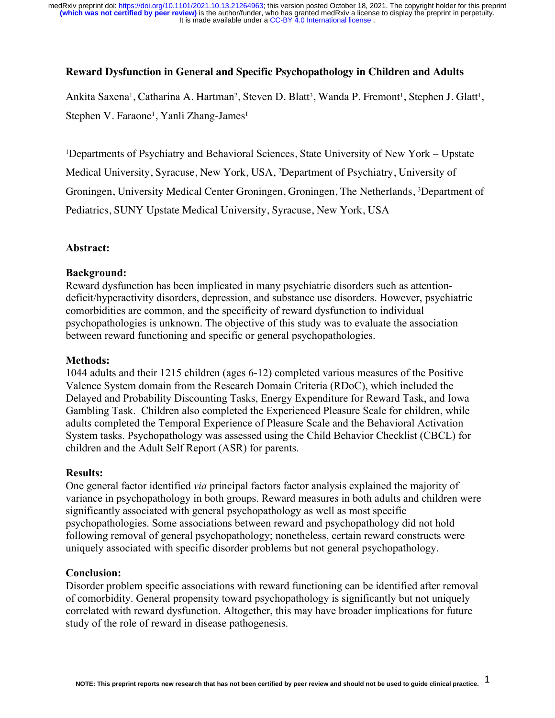### **Reward Dysfunction in General and Specific Psychopathology in Children and Adults**

Ankita Saxena<sup>1</sup>, Catharina A. Hartman<sup>2</sup>, Steven D. Blatt<sup>3</sup>, Wanda P. Fremont<sup>1</sup>, Stephen J. Glatt<sup>1</sup>, Stephen V. Faraone<sup>1</sup>, Yanli Zhang-James<sup>1</sup>

1 Departments of Psychiatry and Behavioral Sciences, State University of New York – Upstate Medical University, Syracuse, New York, USA, 2 Department of Psychiatry, University of Groningen, University Medical Center Groningen, Groningen, The Netherlands, 3 Department of Pediatrics, SUNY Upstate Medical University, Syracuse, New York, USA

#### **Abstract:**

#### **Background:**

Reward dysfunction has been implicated in many psychiatric disorders such as attentiondeficit/hyperactivity disorders, depression, and substance use disorders. However, psychiatric comorbidities are common, and the specificity of reward dysfunction to individual psychopathologies is unknown. The objective of this study was to evaluate the association between reward functioning and specific or general psychopathologies.

#### **Methods:**

1044 adults and their 1215 children (ages 6-12) completed various measures of the Positive Valence System domain from the Research Domain Criteria (RDoC), which included the Delayed and Probability Discounting Tasks, Energy Expenditure for Reward Task, and Iowa Gambling Task. Children also completed the Experienced Pleasure Scale for children, while adults completed the Temporal Experience of Pleasure Scale and the Behavioral Activation System tasks. Psychopathology was assessed using the Child Behavior Checklist (CBCL) for children and the Adult Self Report (ASR) for parents.

#### **Results:**

One general factor identified *via* principal factors factor analysis explained the majority of variance in psychopathology in both groups. Reward measures in both adults and children were significantly associated with general psychopathology as well as most specific psychopathologies. Some associations between reward and psychopathology did not hold following removal of general psychopathology; nonetheless, certain reward constructs were uniquely associated with specific disorder problems but not general psychopathology.

#### **Conclusion:**

Disorder problem specific associations with reward functioning can be identified after removal of comorbidity. General propensity toward psychopathology is significantly but not uniquely correlated with reward dysfunction. Altogether, this may have broader implications for future study of the role of reward in disease pathogenesis.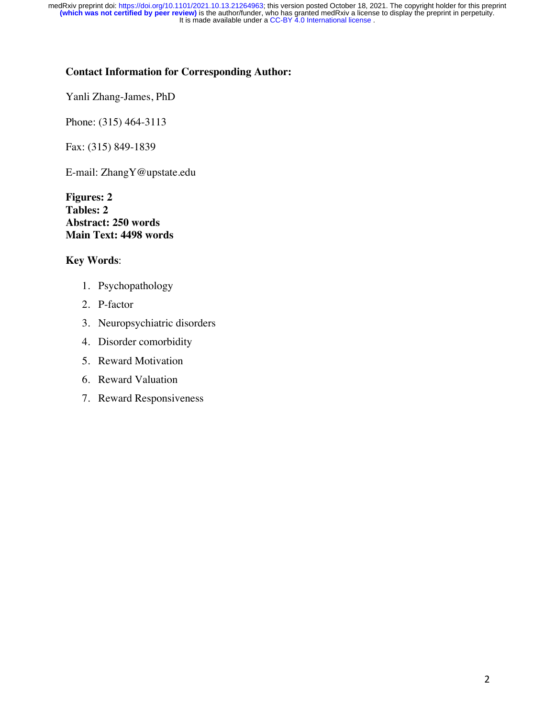### **Contact Information for Corresponding Author:**

Yanli Zhang-James, PhD

Phone: (315) 464-3113

Fax: (315) 849-1839

E-mail: ZhangY@upstate.edu

**Figures: 2 Tables: 2 Abstract: 250 words Main Text: 4498 words**

### **Key Words**:

- 1. Psychopathology
- 2. P-factor
- 3. Neuropsychiatric disorders
- 4. Disorder comorbidity
- 5. Reward Motivation
- 6. Reward Valuation
- 7. Reward Responsiveness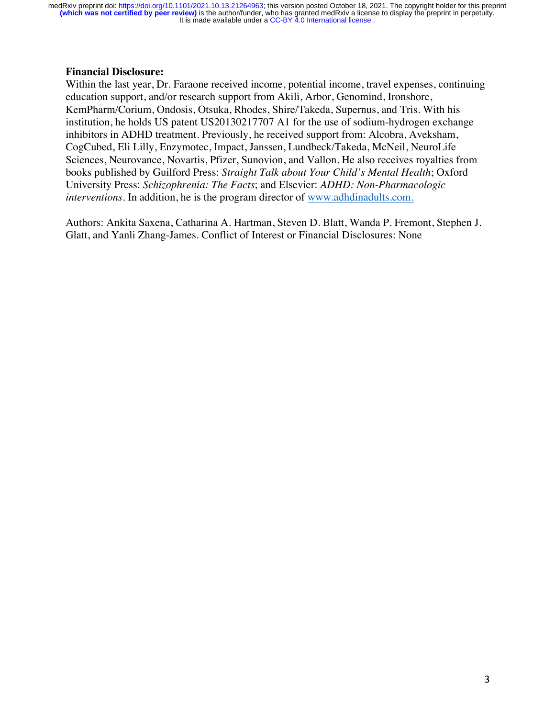### **Financial Disclosure:**

Within the last year, Dr. Faraone received income, potential income, travel expenses, continuing education support, and/or research support from Akili, Arbor, Genomind, Ironshore, KemPharm/Corium, Ondosis, Otsuka, Rhodes, Shire/Takeda, Supernus, and Tris. With his institution, he holds US patent US20130217707 A1 for the use of sodium-hydrogen exchange inhibitors in ADHD treatment. Previously, he received support from: Alcobra, Aveksham, CogCubed, Eli Lilly, Enzymotec, Impact, Janssen, Lundbeck/Takeda, McNeil, NeuroLife Sciences, Neurovance, Novartis, Pfizer, Sunovion, and Vallon. He also receives royalties from books published by Guilford Press: *Straight Talk about Your Child's Mental Health*; Oxford University Press: *Schizophrenia: The Facts*; and Elsevier: *ADHD: Non-Pharmacologic interventions.* In addition, he is the program director of www.adhdinadults.com.

Authors: Ankita Saxena, Catharina A. Hartman, Steven D. Blatt, Wanda P. Fremont, Stephen J. Glatt, and Yanli Zhang-James. Conflict of Interest or Financial Disclosures: None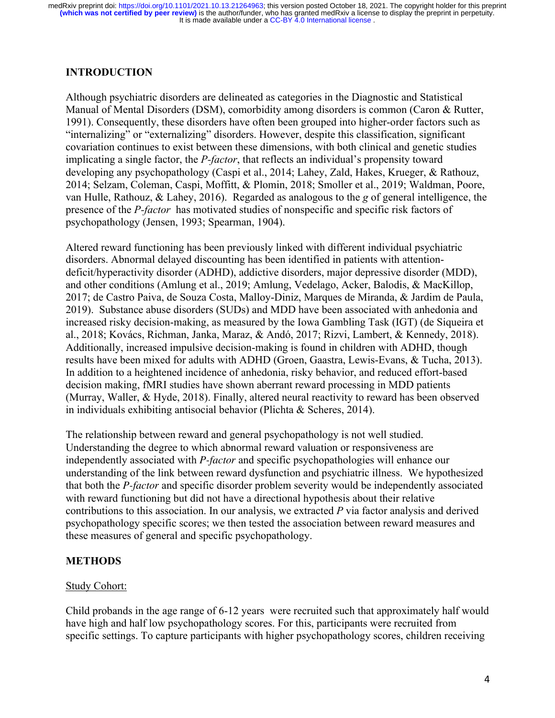### **INTRODUCTION**

Although psychiatric disorders are delineated as categories in the Diagnostic and Statistical Manual of Mental Disorders (DSM), comorbidity among disorders is common (Caron & Rutter, 1991). Consequently, these disorders have often been grouped into higher-order factors such as "internalizing" or "externalizing" disorders. However, despite this classification, significant covariation continues to exist between these dimensions, with both clinical and genetic studies implicating a single factor, the *P-factor*, that reflects an individual's propensity toward developing any psychopathology (Caspi et al., 2014; Lahey, Zald, Hakes, Krueger, & Rathouz, 2014; Selzam, Coleman, Caspi, Moffitt, & Plomin, 2018; Smoller et al., 2019; Waldman, Poore, van Hulle, Rathouz, & Lahey, 2016). Regarded as analogous to the *g* of general intelligence, the presence of the *P-factor* has motivated studies of nonspecific and specific risk factors of psychopathology (Jensen, 1993; Spearman, 1904).

Altered reward functioning has been previously linked with different individual psychiatric disorders. Abnormal delayed discounting has been identified in patients with attentiondeficit/hyperactivity disorder (ADHD), addictive disorders, major depressive disorder (MDD), and other conditions (Amlung et al., 2019; Amlung, Vedelago, Acker, Balodis, & MacKillop, 2017; de Castro Paiva, de Souza Costa, Malloy-Diniz, Marques de Miranda, & Jardim de Paula, 2019). Substance abuse disorders (SUDs) and MDD have been associated with anhedonia and increased risky decision-making, as measured by the Iowa Gambling Task (IGT) (de Siqueira et al., 2018; Kovács, Richman, Janka, Maraz, & Andó, 2017; Rizvi, Lambert, & Kennedy, 2018). Additionally, increased impulsive decision-making is found in children with ADHD, though results have been mixed for adults with ADHD (Groen, Gaastra, Lewis-Evans, & Tucha, 2013). In addition to a heightened incidence of anhedonia, risky behavior, and reduced effort-based decision making, fMRI studies have shown aberrant reward processing in MDD patients (Murray, Waller, & Hyde, 2018). Finally, altered neural reactivity to reward has been observed in individuals exhibiting antisocial behavior (Plichta & Scheres, 2014).

The relationship between reward and general psychopathology is not well studied. Understanding the degree to which abnormal reward valuation or responsiveness are independently associated with *P-factor* and specific psychopathologies will enhance our understanding of the link between reward dysfunction and psychiatric illness. We hypothesized that both the *P-factor* and specific disorder problem severity would be independently associated with reward functioning but did not have a directional hypothesis about their relative contributions to this association. In our analysis, we extracted *P* via factor analysis and derived psychopathology specific scores; we then tested the association between reward measures and these measures of general and specific psychopathology.

### **METHODS**

### Study Cohort:

Child probands in the age range of 6-12 years were recruited such that approximately half would have high and half low psychopathology scores. For this, participants were recruited from specific settings. To capture participants with higher psychopathology scores, children receiving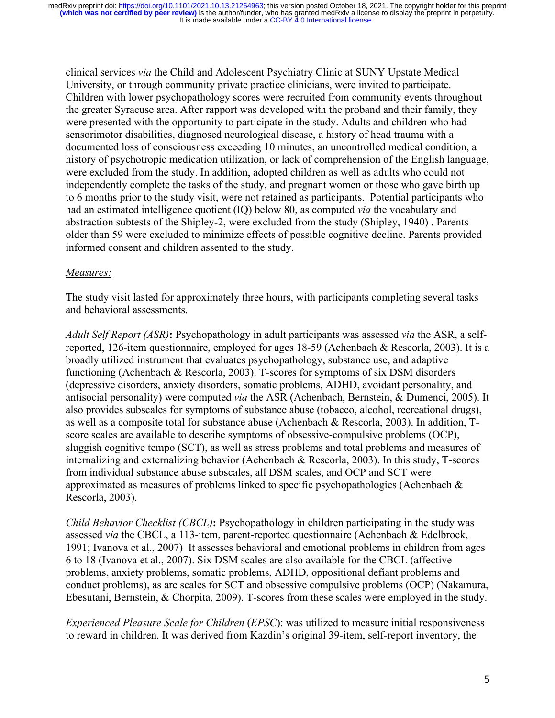clinical services *via* the Child and Adolescent Psychiatry Clinic at SUNY Upstate Medical University, or through community private practice clinicians, were invited to participate. Children with lower psychopathology scores were recruited from community events throughout the greater Syracuse area. After rapport was developed with the proband and their family, they were presented with the opportunity to participate in the study. Adults and children who had sensorimotor disabilities, diagnosed neurological disease, a history of head trauma with a documented loss of consciousness exceeding 10 minutes, an uncontrolled medical condition, a history of psychotropic medication utilization, or lack of comprehension of the English language, were excluded from the study. In addition, adopted children as well as adults who could not independently complete the tasks of the study, and pregnant women or those who gave birth up to 6 months prior to the study visit, were not retained as participants. Potential participants who had an estimated intelligence quotient (IQ) below 80, as computed *via* the vocabulary and abstraction subtests of the Shipley-2, were excluded from the study (Shipley, 1940) . Parents older than 59 were excluded to minimize effects of possible cognitive decline. Parents provided informed consent and children assented to the study.

### *Measures:*

The study visit lasted for approximately three hours, with participants completing several tasks and behavioral assessments.

*Adult Self Report (ASR)***:** Psychopathology in adult participants was assessed *via* the ASR, a selfreported, 126-item questionnaire, employed for ages 18-59 (Achenbach & Rescorla, 2003). It is a broadly utilized instrument that evaluates psychopathology, substance use, and adaptive functioning (Achenbach & Rescorla, 2003). T-scores for symptoms of six DSM disorders (depressive disorders, anxiety disorders, somatic problems, ADHD, avoidant personality, and antisocial personality) were computed *via* the ASR (Achenbach, Bernstein, & Dumenci, 2005). It also provides subscales for symptoms of substance abuse (tobacco, alcohol, recreational drugs), as well as a composite total for substance abuse (Achenbach & Rescorla, 2003). In addition, Tscore scales are available to describe symptoms of obsessive-compulsive problems (OCP), sluggish cognitive tempo (SCT), as well as stress problems and total problems and measures of internalizing and externalizing behavior (Achenbach & Rescorla, 2003). In this study, T-scores from individual substance abuse subscales, all DSM scales, and OCP and SCT were approximated as measures of problems linked to specific psychopathologies (Achenbach & Rescorla, 2003).

*Child Behavior Checklist (CBCL)***:** Psychopathology in children participating in the study was assessed *via* the CBCL, a 113-item, parent-reported questionnaire (Achenbach & Edelbrock, 1991; Ivanova et al., 2007) It assesses behavioral and emotional problems in children from ages 6 to 18 (Ivanova et al., 2007). Six DSM scales are also available for the CBCL (affective problems, anxiety problems, somatic problems, ADHD, oppositional defiant problems and conduct problems), as are scales for SCT and obsessive compulsive problems (OCP) (Nakamura, Ebesutani, Bernstein, & Chorpita, 2009). T-scores from these scales were employed in the study.

*Experienced Pleasure Scale for Children* (*EPSC*): was utilized to measure initial responsiveness to reward in children. It was derived from Kazdin's original 39-item, self-report inventory, the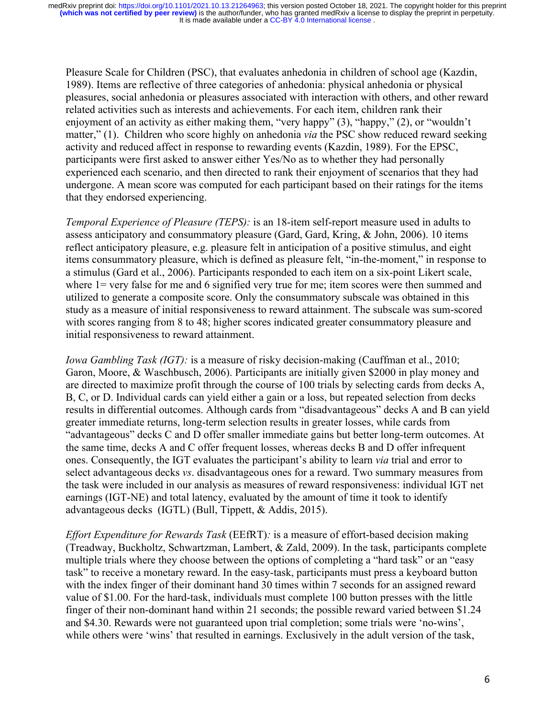Pleasure Scale for Children (PSC), that evaluates anhedonia in children of school age (Kazdin, 1989). Items are reflective of three categories of anhedonia: physical anhedonia or physical pleasures, social anhedonia or pleasures associated with interaction with others, and other reward related activities such as interests and achievements. For each item, children rank their enjoyment of an activity as either making them, "very happy" (3), "happy," (2), or "wouldn't matter," (1). Children who score highly on anhedonia *via* the PSC show reduced reward seeking activity and reduced affect in response to rewarding events (Kazdin, 1989). For the EPSC, participants were first asked to answer either Yes/No as to whether they had personally experienced each scenario, and then directed to rank their enjoyment of scenarios that they had undergone. A mean score was computed for each participant based on their ratings for the items that they endorsed experiencing.

*Temporal Experience of Pleasure (TEPS):* is an 18-item self-report measure used in adults to assess anticipatory and consummatory pleasure (Gard, Gard, Kring, & John, 2006). 10 items reflect anticipatory pleasure, e.g. pleasure felt in anticipation of a positive stimulus, and eight items consummatory pleasure, which is defined as pleasure felt, "in-the-moment," in response to a stimulus (Gard et al., 2006). Participants responded to each item on a six-point Likert scale, where 1= very false for me and 6 signified very true for me; item scores were then summed and utilized to generate a composite score. Only the consummatory subscale was obtained in this study as a measure of initial responsiveness to reward attainment. The subscale was sum-scored with scores ranging from 8 to 48; higher scores indicated greater consummatory pleasure and initial responsiveness to reward attainment.

*Iowa Gambling Task (IGT):* is a measure of risky decision-making (Cauffman et al., 2010; Garon, Moore, & Waschbusch, 2006). Participants are initially given \$2000 in play money and are directed to maximize profit through the course of 100 trials by selecting cards from decks A, B, C, or D. Individual cards can yield either a gain or a loss, but repeated selection from decks results in differential outcomes. Although cards from "disadvantageous" decks A and B can yield greater immediate returns, long-term selection results in greater losses, while cards from "advantageous" decks C and D offer smaller immediate gains but better long-term outcomes. At the same time, decks A and C offer frequent losses, whereas decks B and D offer infrequent ones. Consequently, the IGT evaluates the participant's ability to learn *via* trial and error to select advantageous decks *vs*. disadvantageous ones for a reward. Two summary measures from the task were included in our analysis as measures of reward responsiveness: individual IGT net earnings (IGT-NE) and total latency, evaluated by the amount of time it took to identify advantageous decks (IGTL) (Bull, Tippett, & Addis, 2015).

*Effort Expenditure for Rewards Task* (EEfRT)*:* is a measure of effort-based decision making (Treadway, Buckholtz, Schwartzman, Lambert, & Zald, 2009). In the task, participants complete multiple trials where they choose between the options of completing a "hard task" or an "easy task" to receive a monetary reward. In the easy-task, participants must press a keyboard button with the index finger of their dominant hand 30 times within 7 seconds for an assigned reward value of \$1.00. For the hard-task, individuals must complete 100 button presses with the little finger of their non-dominant hand within 21 seconds; the possible reward varied between \$1.24 and \$4.30. Rewards were not guaranteed upon trial completion; some trials were 'no-wins', while others were 'wins' that resulted in earnings. Exclusively in the adult version of the task,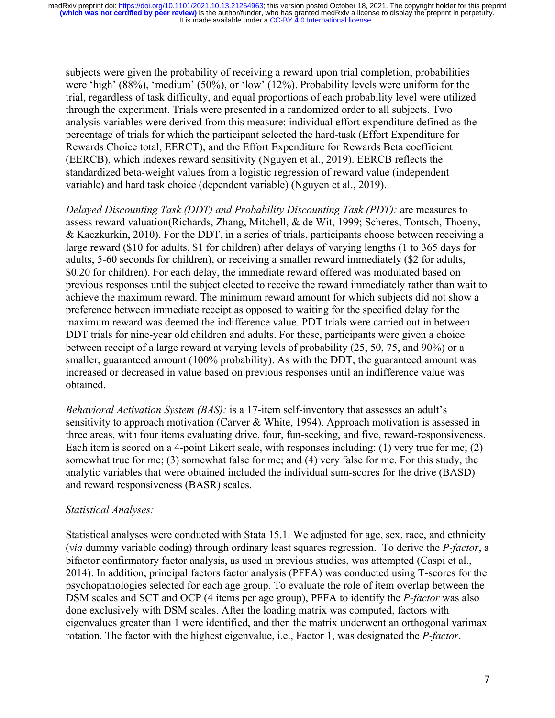subjects were given the probability of receiving a reward upon trial completion; probabilities were 'high' (88%), 'medium' (50%), or 'low' (12%). Probability levels were uniform for the trial, regardless of task difficulty, and equal proportions of each probability level were utilized through the experiment. Trials were presented in a randomized order to all subjects. Two analysis variables were derived from this measure: individual effort expenditure defined as the percentage of trials for which the participant selected the hard-task (Effort Expenditure for Rewards Choice total, EERCT), and the Effort Expenditure for Rewards Beta coefficient (EERCB), which indexes reward sensitivity (Nguyen et al., 2019). EERCB reflects the standardized beta-weight values from a logistic regression of reward value (independent variable) and hard task choice (dependent variable) (Nguyen et al., 2019).

*Delayed Discounting Task (DDT) and Probability Discounting Task (PDT):* are measures to assess reward valuation(Richards, Zhang, Mitchell, & de Wit, 1999; Scheres, Tontsch, Thoeny, & Kaczkurkin, 2010). For the DDT, in a series of trials, participants choose between receiving a large reward (\$10 for adults, \$1 for children) after delays of varying lengths (1 to 365 days for adults, 5-60 seconds for children), or receiving a smaller reward immediately (\$2 for adults, \$0.20 for children). For each delay, the immediate reward offered was modulated based on previous responses until the subject elected to receive the reward immediately rather than wait to achieve the maximum reward. The minimum reward amount for which subjects did not show a preference between immediate receipt as opposed to waiting for the specified delay for the maximum reward was deemed the indifference value. PDT trials were carried out in between DDT trials for nine-year old children and adults. For these, participants were given a choice between receipt of a large reward at varying levels of probability (25, 50, 75, and 90%) or a smaller, guaranteed amount (100% probability). As with the DDT, the guaranteed amount was increased or decreased in value based on previous responses until an indifference value was obtained.

*Behavioral Activation System (BAS):* is a 17-item self-inventory that assesses an adult's sensitivity to approach motivation (Carver & White, 1994). Approach motivation is assessed in three areas, with four items evaluating drive, four, fun-seeking, and five, reward-responsiveness. Each item is scored on a 4-point Likert scale, with responses including: (1) very true for me; (2) somewhat true for me; (3) somewhat false for me; and (4) very false for me. For this study, the analytic variables that were obtained included the individual sum-scores for the drive (BASD) and reward responsiveness (BASR) scales.

### *Statistical Analyses:*

Statistical analyses were conducted with Stata 15.1. We adjusted for age, sex, race, and ethnicity (*via* dummy variable coding) through ordinary least squares regression. To derive the *P-factor*, a bifactor confirmatory factor analysis, as used in previous studies, was attempted (Caspi et al., 2014). In addition, principal factors factor analysis (PFFA) was conducted using T-scores for the psychopathologies selected for each age group. To evaluate the role of item overlap between the DSM scales and SCT and OCP (4 items per age group), PFFA to identify the *P-factor* was also done exclusively with DSM scales. After the loading matrix was computed, factors with eigenvalues greater than 1 were identified, and then the matrix underwent an orthogonal varimax rotation. The factor with the highest eigenvalue, i.e., Factor 1, was designated the *P-factor*.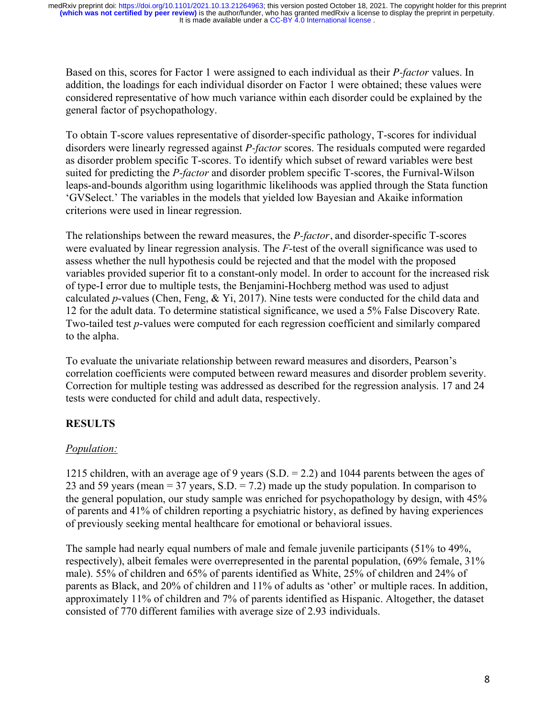Based on this, scores for Factor 1 were assigned to each individual as their *P-factor* values. In addition, the loadings for each individual disorder on Factor 1 were obtained; these values were considered representative of how much variance within each disorder could be explained by the general factor of psychopathology.

To obtain T-score values representative of disorder-specific pathology, T-scores for individual disorders were linearly regressed against *P-factor* scores. The residuals computed were regarded as disorder problem specific T-scores. To identify which subset of reward variables were best suited for predicting the *P-factor* and disorder problem specific T-scores, the Furnival-Wilson leaps-and-bounds algorithm using logarithmic likelihoods was applied through the Stata function 'GVSelect.' The variables in the models that yielded low Bayesian and Akaike information criterions were used in linear regression.

The relationships between the reward measures, the *P-factor*, and disorder-specific T-scores were evaluated by linear regression analysis. The *F*-test of the overall significance was used to assess whether the null hypothesis could be rejected and that the model with the proposed variables provided superior fit to a constant-only model. In order to account for the increased risk of type-I error due to multiple tests, the Benjamini-Hochberg method was used to adjust calculated *p*-values (Chen, Feng, & Yi, 2017). Nine tests were conducted for the child data and 12 for the adult data. To determine statistical significance, we used a 5% False Discovery Rate. Two-tailed test *p*-values were computed for each regression coefficient and similarly compared to the alpha.

To evaluate the univariate relationship between reward measures and disorders, Pearson's correlation coefficients were computed between reward measures and disorder problem severity. Correction for multiple testing was addressed as described for the regression analysis. 17 and 24 tests were conducted for child and adult data, respectively.

# **RESULTS**

# *Population:*

1215 children, with an average age of 9 years (S.D. = 2.2) and 1044 parents between the ages of 23 and 59 years (mean  $=$  37 years, S.D.  $=$  7.2) made up the study population. In comparison to the general population, our study sample was enriched for psychopathology by design, with 45% of parents and 41% of children reporting a psychiatric history, as defined by having experiences of previously seeking mental healthcare for emotional or behavioral issues.

The sample had nearly equal numbers of male and female juvenile participants (51% to 49%, respectively), albeit females were overrepresented in the parental population, (69% female, 31% male). 55% of children and 65% of parents identified as White, 25% of children and 24% of parents as Black, and 20% of children and 11% of adults as 'other' or multiple races. In addition, approximately 11% of children and 7% of parents identified as Hispanic. Altogether, the dataset consisted of 770 different families with average size of 2.93 individuals.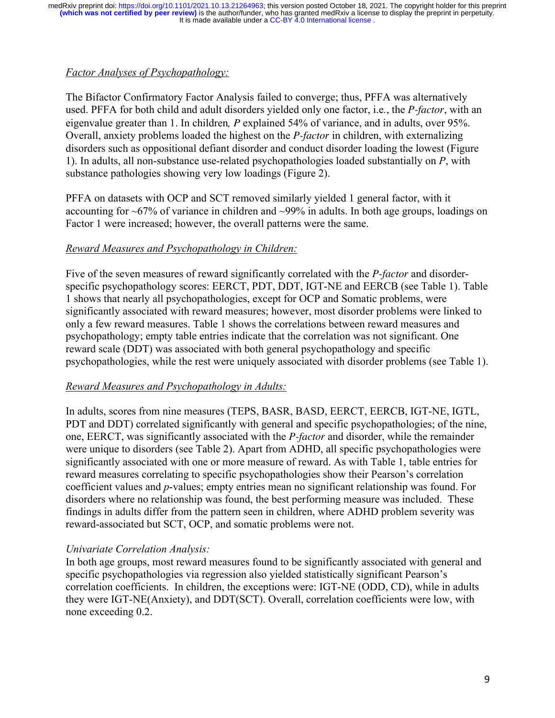# *Factor Analyses of Psychopathology:*

The Bifactor Confirmatory Factor Analysis failed to converge; thus, PFFA was alternatively used. PFFA for both child and adult disorders yielded only one factor, i.e*.*, the *P-factor*, with an eigenvalue greater than 1. In children*, P* explained 54% of variance, and in adults, over 95%. Overall, anxiety problems loaded the highest on the *P-factor* in children, with externalizing disorders such as oppositional defiant disorder and conduct disorder loading the lowest (Figure 1). In adults, all non-substance use-related psychopathologies loaded substantially on *P*, with substance pathologies showing very low loadings (Figure 2).

PFFA on datasets with OCP and SCT removed similarly yielded 1 general factor, with it accounting for ~67% of variance in children and ~99% in adults. In both age groups, loadings on Factor 1 were increased; however, the overall patterns were the same.

# *Reward Measures and Psychopathology in Children:*

Five of the seven measures of reward significantly correlated with the *P-factor* and disorderspecific psychopathology scores: EERCT, PDT, DDT, IGT-NE and EERCB (see Table 1). Table 1 shows that nearly all psychopathologies, except for OCP and Somatic problems, were significantly associated with reward measures; however, most disorder problems were linked to only a few reward measures. Table 1 shows the correlations between reward measures and psychopathology; empty table entries indicate that the correlation was not significant. One reward scale (DDT) was associated with both general psychopathology and specific psychopathologies, while the rest were uniquely associated with disorder problems (see Table 1).

# *Reward Measures and Psychopathology in Adults:*

In adults, scores from nine measures (TEPS, BASR, BASD, EERCT, EERCB, IGT-NE, IGTL, PDT and DDT) correlated significantly with general and specific psychopathologies; of the nine, one, EERCT, was significantly associated with the *P-factor* and disorder, while the remainder were unique to disorders (see Table 2). Apart from ADHD, all specific psychopathologies were significantly associated with one or more measure of reward. As with Table 1, table entries for reward measures correlating to specific psychopathologies show their Pearson's correlation coefficient values and *p*-values; empty entries mean no significant relationship was found. For disorders where no relationship was found, the best performing measure was included. These findings in adults differ from the pattern seen in children, where ADHD problem severity was reward-associated but SCT, OCP, and somatic problems were not.

# *Univariate Correlation Analysis:*

In both age groups, most reward measures found to be significantly associated with general and specific psychopathologies via regression also yielded statistically significant Pearson's correlation coefficients. In children, the exceptions were: IGT-NE (ODD, CD), while in adults they were IGT-NE(Anxiety), and DDT(SCT). Overall, correlation coefficients were low, with none exceeding 0.2.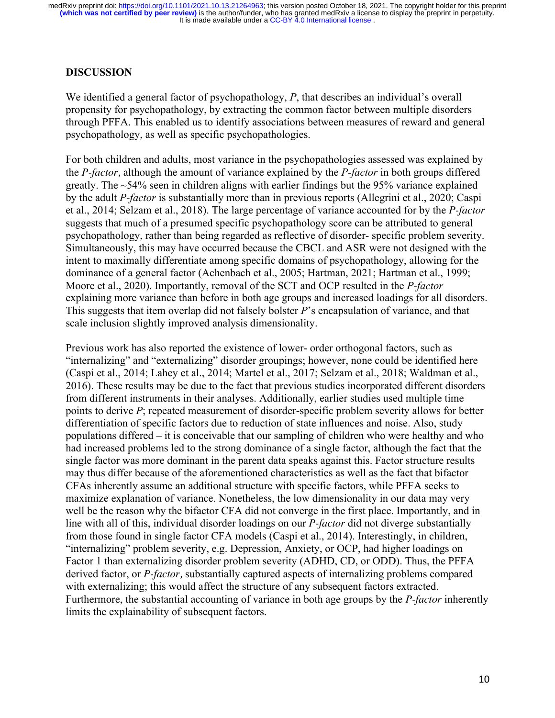### **DISCUSSION**

We identified a general factor of psychopathology, P, that describes an individual's overall propensity for psychopathology, by extracting the common factor between multiple disorders through PFFA. This enabled us to identify associations between measures of reward and general psychopathology, as well as specific psychopathologies.

For both children and adults, most variance in the psychopathologies assessed was explained by the *P-factor,* although the amount of variance explained by the *P-factor* in both groups differed greatly. The ~54% seen in children aligns with earlier findings but the 95% variance explained by the adult *P-factor* is substantially more than in previous reports (Allegrini et al., 2020; Caspi et al., 2014; Selzam et al., 2018). The large percentage of variance accounted for by the *P-factor* suggests that much of a presumed specific psychopathology score can be attributed to general psychopathology, rather than being regarded as reflective of disorder- specific problem severity. Simultaneously, this may have occurred because the CBCL and ASR were not designed with the intent to maximally differentiate among specific domains of psychopathology, allowing for the dominance of a general factor (Achenbach et al., 2005; Hartman, 2021; Hartman et al., 1999; Moore et al., 2020). Importantly, removal of the SCT and OCP resulted in the *P-factor*  explaining more variance than before in both age groups and increased loadings for all disorders. This suggests that item overlap did not falsely bolster *P*'s encapsulation of variance, and that scale inclusion slightly improved analysis dimensionality.

Previous work has also reported the existence of lower- order orthogonal factors, such as "internalizing" and "externalizing" disorder groupings; however, none could be identified here (Caspi et al., 2014; Lahey et al., 2014; Martel et al., 2017; Selzam et al., 2018; Waldman et al., 2016). These results may be due to the fact that previous studies incorporated different disorders from different instruments in their analyses. Additionally, earlier studies used multiple time points to derive *P*; repeated measurement of disorder-specific problem severity allows for better differentiation of specific factors due to reduction of state influences and noise. Also, study populations differed – it is conceivable that our sampling of children who were healthy and who had increased problems led to the strong dominance of a single factor, although the fact that the single factor was more dominant in the parent data speaks against this. Factor structure results may thus differ because of the aforementioned characteristics as well as the fact that bifactor CFAs inherently assume an additional structure with specific factors, while PFFA seeks to maximize explanation of variance. Nonetheless, the low dimensionality in our data may very well be the reason why the bifactor CFA did not converge in the first place. Importantly, and in line with all of this, individual disorder loadings on our *P-factor* did not diverge substantially from those found in single factor CFA models (Caspi et al., 2014). Interestingly, in children, "internalizing" problem severity, e.g. Depression, Anxiety, or OCP, had higher loadings on Factor 1 than externalizing disorder problem severity (ADHD, CD, or ODD). Thus, the PFFA derived factor, or *P-factor,* substantially captured aspects of internalizing problems compared with externalizing; this would affect the structure of any subsequent factors extracted. Furthermore, the substantial accounting of variance in both age groups by the *P-factor* inherently limits the explainability of subsequent factors.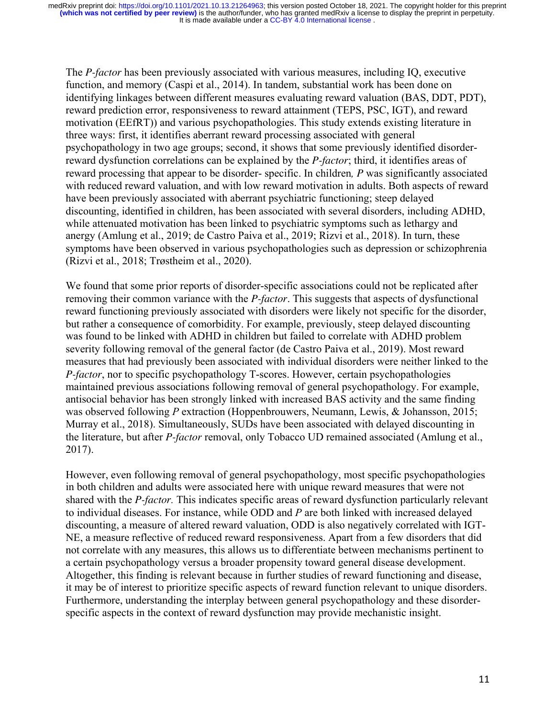The *P-factor* has been previously associated with various measures, including IQ, executive function, and memory (Caspi et al., 2014). In tandem, substantial work has been done on identifying linkages between different measures evaluating reward valuation (BAS, DDT, PDT), reward prediction error, responsiveness to reward attainment (TEPS, PSC, IGT), and reward motivation (EEfRT)) and various psychopathologies. This study extends existing literature in three ways: first, it identifies aberrant reward processing associated with general psychopathology in two age groups; second, it shows that some previously identified disorderreward dysfunction correlations can be explained by the *P-factor*; third, it identifies areas of reward processing that appear to be disorder- specific. In children*, P* was significantly associated with reduced reward valuation, and with low reward motivation in adults. Both aspects of reward have been previously associated with aberrant psychiatric functioning; steep delayed discounting, identified in children, has been associated with several disorders, including ADHD, while attenuated motivation has been linked to psychiatric symptoms such as lethargy and anergy (Amlung et al., 2019; de Castro Paiva et al., 2019; Rizvi et al., 2018). In turn, these symptoms have been observed in various psychopathologies such as depression or schizophrenia (Rizvi et al., 2018; Trøstheim et al., 2020).

We found that some prior reports of disorder-specific associations could not be replicated after removing their common variance with the *P-factor*. This suggests that aspects of dysfunctional reward functioning previously associated with disorders were likely not specific for the disorder, but rather a consequence of comorbidity. For example, previously, steep delayed discounting was found to be linked with ADHD in children but failed to correlate with ADHD problem severity following removal of the general factor (de Castro Paiva et al., 2019). Most reward measures that had previously been associated with individual disorders were neither linked to the *P-factor*, nor to specific psychopathology T-scores. However, certain psychopathologies maintained previous associations following removal of general psychopathology. For example, antisocial behavior has been strongly linked with increased BAS activity and the same finding was observed following *P* extraction (Hoppenbrouwers, Neumann, Lewis, & Johansson, 2015; Murray et al., 2018). Simultaneously, SUDs have been associated with delayed discounting in the literature, but after *P-factor* removal, only Tobacco UD remained associated (Amlung et al., 2017).

However, even following removal of general psychopathology, most specific psychopathologies in both children and adults were associated here with unique reward measures that were not shared with the *P-factor.* This indicates specific areas of reward dysfunction particularly relevant to individual diseases. For instance, while ODD and *P* are both linked with increased delayed discounting, a measure of altered reward valuation, ODD is also negatively correlated with IGT-NE, a measure reflective of reduced reward responsiveness. Apart from a few disorders that did not correlate with any measures, this allows us to differentiate between mechanisms pertinent to a certain psychopathology versus a broader propensity toward general disease development. Altogether, this finding is relevant because in further studies of reward functioning and disease, it may be of interest to prioritize specific aspects of reward function relevant to unique disorders. Furthermore, understanding the interplay between general psychopathology and these disorderspecific aspects in the context of reward dysfunction may provide mechanistic insight.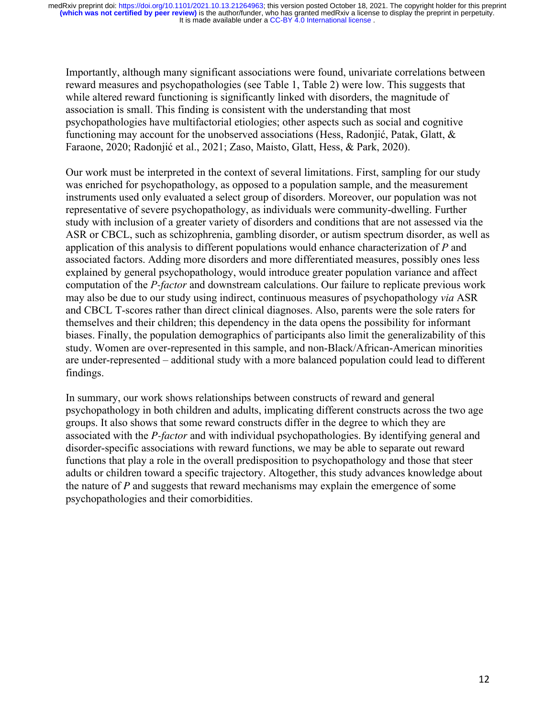Importantly, although many significant associations were found, univariate correlations between reward measures and psychopathologies (see Table 1, Table 2) were low. This suggests that while altered reward functioning is significantly linked with disorders, the magnitude of association is small. This finding is consistent with the understanding that most psychopathologies have multifactorial etiologies; other aspects such as social and cognitive functioning may account for the unobserved associations (Hess, Radonjić, Patak, Glatt, & Faraone, 2020; Radonjić et al., 2021; Zaso, Maisto, Glatt, Hess, & Park, 2020).

Our work must be interpreted in the context of several limitations. First, sampling for our study was enriched for psychopathology, as opposed to a population sample, and the measurement instruments used only evaluated a select group of disorders. Moreover, our population was not representative of severe psychopathology, as individuals were community-dwelling. Further study with inclusion of a greater variety of disorders and conditions that are not assessed via the ASR or CBCL, such as schizophrenia, gambling disorder, or autism spectrum disorder, as well as application of this analysis to different populations would enhance characterization of *P* and associated factors. Adding more disorders and more differentiated measures, possibly ones less explained by general psychopathology, would introduce greater population variance and affect computation of the *P-factor* and downstream calculations. Our failure to replicate previous work may also be due to our study using indirect, continuous measures of psychopathology *via* ASR and CBCL T-scores rather than direct clinical diagnoses. Also, parents were the sole raters for themselves and their children; this dependency in the data opens the possibility for informant biases. Finally, the population demographics of participants also limit the generalizability of this study. Women are over-represented in this sample, and non-Black/African-American minorities are under-represented – additional study with a more balanced population could lead to different findings.

In summary, our work shows relationships between constructs of reward and general psychopathology in both children and adults, implicating different constructs across the two age groups. It also shows that some reward constructs differ in the degree to which they are associated with the *P-factor* and with individual psychopathologies. By identifying general and disorder-specific associations with reward functions, we may be able to separate out reward functions that play a role in the overall predisposition to psychopathology and those that steer adults or children toward a specific trajectory. Altogether, this study advances knowledge about the nature of *P* and suggests that reward mechanisms may explain the emergence of some psychopathologies and their comorbidities.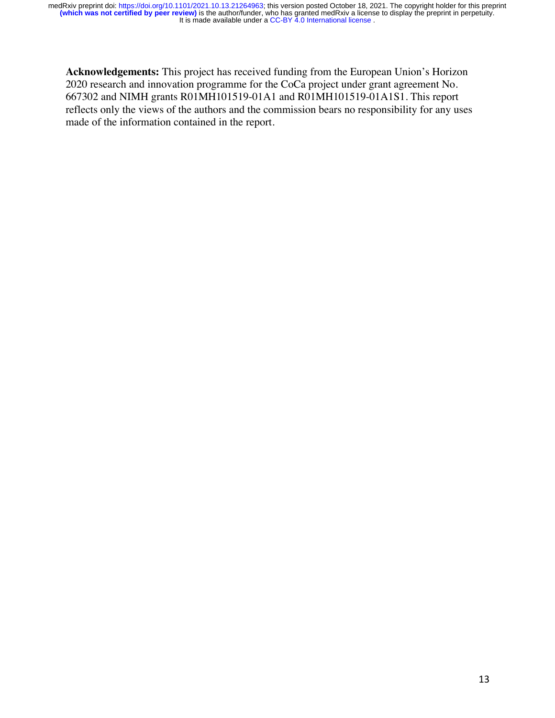**Acknowledgements:** This project has received funding from the European Union's Horizon 2020 research and innovation programme for the CoCa project under grant agreement No. 667302 and NIMH grants R01MH101519-01A1 and R01MH101519-01A1S1. This report reflects only the views of the authors and the commission bears no responsibility for any uses made of the information contained in the report.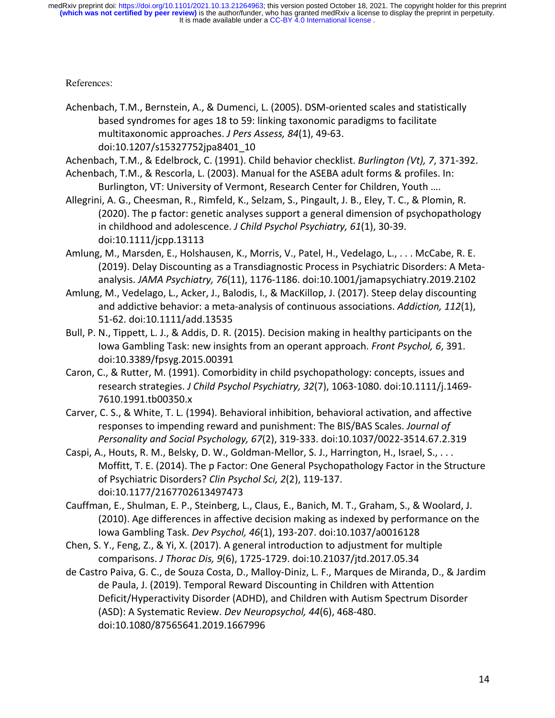References:

Achenbach, T.M., Bernstein, A., & Dumenci, L. (2005). DSM-oriented scales and statistically based syndromes for ages 18 to 59: linking taxonomic paradigms to facilitate multitaxonomic approaches. *J Pers Assess, 84*(1), 49-63. doi:10.1207/s15327752jpa8401\_10

Achenbach, T.M., & Edelbrock, C. (1991). Child behavior checklist. *Burlington (Vt), 7*, 371-392.

- Achenbach, T.M., & Rescorla, L. (2003). Manual for the ASEBA adult forms & profiles. In: Burlington, VT: University of Vermont, Research Center for Children, Youth ….
- Allegrini, A. G., Cheesman, R., Rimfeld, K., Selzam, S., Pingault, J. B., Eley, T. C., & Plomin, R. (2020). The p factor: genetic analyses support a general dimension of psychopathology in childhood and adolescence. *J Child Psychol Psychiatry, 61*(1), 30-39. doi:10.1111/jcpp.13113
- Amlung, M., Marsden, E., Holshausen, K., Morris, V., Patel, H., Vedelago, L., . . . McCabe, R. E. (2019). Delay Discounting as a Transdiagnostic Process in Psychiatric Disorders: A Metaanalysis. *JAMA Psychiatry, 76*(11), 1176-1186. doi:10.1001/jamapsychiatry.2019.2102
- Amlung, M., Vedelago, L., Acker, J., Balodis, I., & MacKillop, J. (2017). Steep delay discounting and addictive behavior: a meta-analysis of continuous associations. *Addiction, 112*(1), 51-62. doi:10.1111/add.13535
- Bull, P. N., Tippett, L. J., & Addis, D. R. (2015). Decision making in healthy participants on the Iowa Gambling Task: new insights from an operant approach. *Front Psychol, 6*, 391. doi:10.3389/fpsyg.2015.00391
- Caron, C., & Rutter, M. (1991). Comorbidity in child psychopathology: concepts, issues and research strategies. *J Child Psychol Psychiatry, 32*(7), 1063-1080. doi:10.1111/j.1469- 7610.1991.tb00350.x
- Carver, C. S., & White, T. L. (1994). Behavioral inhibition, behavioral activation, and affective responses to impending reward and punishment: The BIS/BAS Scales. *Journal of Personality and Social Psychology, 67*(2), 319-333. doi:10.1037/0022-3514.67.2.319
- Caspi, A., Houts, R. M., Belsky, D. W., Goldman-Mellor, S. J., Harrington, H., Israel, S., . . . Moffitt, T. E. (2014). The p Factor: One General Psychopathology Factor in the Structure of Psychiatric Disorders? *Clin Psychol Sci, 2*(2), 119-137. doi:10.1177/2167702613497473
- Cauffman, E., Shulman, E. P., Steinberg, L., Claus, E., Banich, M. T., Graham, S., & Woolard, J. (2010). Age differences in affective decision making as indexed by performance on the Iowa Gambling Task. *Dev Psychol, 46*(1), 193-207. doi:10.1037/a0016128
- Chen, S. Y., Feng, Z., & Yi, X. (2017). A general introduction to adjustment for multiple comparisons. *J Thorac Dis, 9*(6), 1725-1729. doi:10.21037/jtd.2017.05.34
- de Castro Paiva, G. C., de Souza Costa, D., Malloy-Diniz, L. F., Marques de Miranda, D., & Jardim de Paula, J. (2019). Temporal Reward Discounting in Children with Attention Deficit/Hyperactivity Disorder (ADHD), and Children with Autism Spectrum Disorder (ASD): A Systematic Review. *Dev Neuropsychol, 44*(6), 468-480. doi:10.1080/87565641.2019.1667996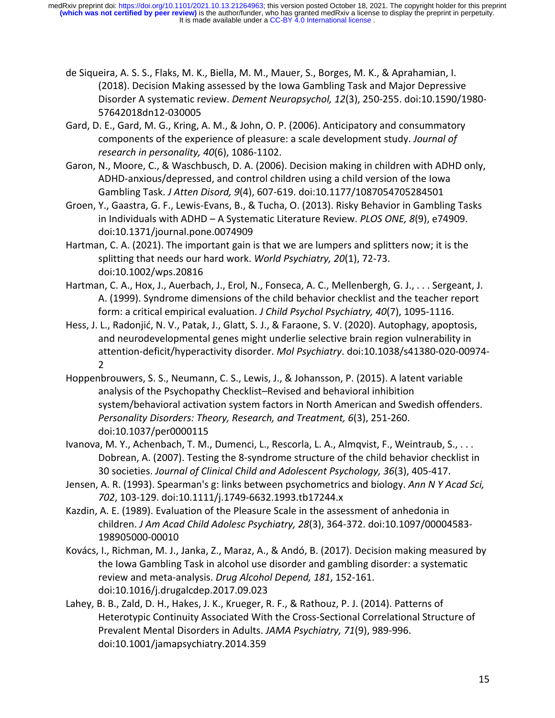- de Siqueira, A. S. S., Flaks, M. K., Biella, M. M., Mauer, S., Borges, M. K., & Aprahamian, I. (2018). Decision Making assessed by the Iowa Gambling Task and Major Depressive Disorder A systematic review. *Dement Neuropsychol, 12*(3), 250-255. doi:10.1590/1980- 57642018dn12-030005
- Gard, D. E., Gard, M. G., Kring, A. M., & John, O. P. (2006). Anticipatory and consummatory components of the experience of pleasure: a scale development study. *Journal of research in personality, 40*(6), 1086-1102.
- Garon, N., Moore, C., & Waschbusch, D. A. (2006). Decision making in children with ADHD only, ADHD-anxious/depressed, and control children using a child version of the Iowa Gambling Task. *J Atten Disord, 9*(4), 607-619. doi:10.1177/1087054705284501
- Groen, Y., Gaastra, G. F., Lewis-Evans, B., & Tucha, O. (2013). Risky Behavior in Gambling Tasks in Individuals with ADHD – A Systematic Literature Review. *PLOS ONE, 8*(9), e74909. doi:10.1371/journal.pone.0074909
- Hartman, C. A. (2021). The important gain is that we are lumpers and splitters now; it is the splitting that needs our hard work. *World Psychiatry, 20*(1), 72-73. doi:10.1002/wps.20816
- Hartman, C. A., Hox, J., Auerbach, J., Erol, N., Fonseca, A. C., Mellenbergh, G. J., . . . Sergeant, J. A. (1999). Syndrome dimensions of the child behavior checklist and the teacher report form: a critical empirical evaluation. *J Child Psychol Psychiatry, 40*(7), 1095-1116.
- Hess, J. L., Radonjić, N. V., Patak, J., Glatt, S. J., & Faraone, S. V. (2020). Autophagy, apoptosis, and neurodevelopmental genes might underlie selective brain region vulnerability in attention-deficit/hyperactivity disorder. *Mol Psychiatry*. doi:10.1038/s41380-020-00974- 2
- Hoppenbrouwers, S. S., Neumann, C. S., Lewis, J., & Johansson, P. (2015). A latent variable analysis of the Psychopathy Checklist–Revised and behavioral inhibition system/behavioral activation system factors in North American and Swedish offenders. *Personality Disorders: Theory, Research, and Treatment, 6*(3), 251-260. doi:10.1037/per0000115
- Ivanova, M. Y., Achenbach, T. M., Dumenci, L., Rescorla, L. A., Almqvist, F., Weintraub, S., . . . Dobrean, A. (2007). Testing the 8-syndrome structure of the child behavior checklist in 30 societies. *Journal of Clinical Child and Adolescent Psychology, 36*(3), 405-417.
- Jensen, A. R. (1993). Spearman's g: links between psychometrics and biology. *Ann N Y Acad Sci, 702*, 103-129. doi:10.1111/j.1749-6632.1993.tb17244.x
- Kazdin, A. E. (1989). Evaluation of the Pleasure Scale in the assessment of anhedonia in children. *J Am Acad Child Adolesc Psychiatry, 28*(3), 364-372. doi:10.1097/00004583- 198905000-00010
- Kovács, I., Richman, M. J., Janka, Z., Maraz, A., & Andó, B. (2017). Decision making measured by the Iowa Gambling Task in alcohol use disorder and gambling disorder: a systematic review and meta-analysis. *Drug Alcohol Depend, 181*, 152-161. doi:10.1016/j.drugalcdep.2017.09.023
- Lahey, B. B., Zald, D. H., Hakes, J. K., Krueger, R. F., & Rathouz, P. J. (2014). Patterns of Heterotypic Continuity Associated With the Cross-Sectional Correlational Structure of Prevalent Mental Disorders in Adults. *JAMA Psychiatry, 71*(9), 989-996. doi:10.1001/jamapsychiatry.2014.359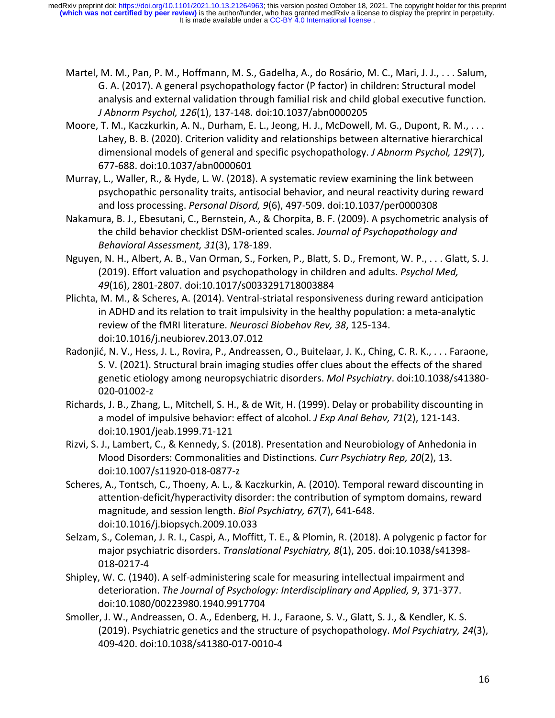- Martel, M. M., Pan, P. M., Hoffmann, M. S., Gadelha, A., do Rosário, M. C., Mari, J. J., . . . Salum, G. A. (2017). A general psychopathology factor (P factor) in children: Structural model analysis and external validation through familial risk and child global executive function. *J Abnorm Psychol, 126*(1), 137-148. doi:10.1037/abn0000205
- Moore, T. M., Kaczkurkin, A. N., Durham, E. L., Jeong, H. J., McDowell, M. G., Dupont, R. M., . . . Lahey, B. B. (2020). Criterion validity and relationships between alternative hierarchical dimensional models of general and specific psychopathology. *J Abnorm Psychol, 129*(7), 677-688. doi:10.1037/abn0000601
- Murray, L., Waller, R., & Hyde, L. W. (2018). A systematic review examining the link between psychopathic personality traits, antisocial behavior, and neural reactivity during reward and loss processing. *Personal Disord, 9*(6), 497-509. doi:10.1037/per0000308
- Nakamura, B. J., Ebesutani, C., Bernstein, A., & Chorpita, B. F. (2009). A psychometric analysis of the child behavior checklist DSM-oriented scales. *Journal of Psychopathology and Behavioral Assessment, 31*(3), 178-189.
- Nguyen, N. H., Albert, A. B., Van Orman, S., Forken, P., Blatt, S. D., Fremont, W. P., . . . Glatt, S. J. (2019). Effort valuation and psychopathology in children and adults. *Psychol Med, 49*(16), 2801-2807. doi:10.1017/s0033291718003884
- Plichta, M. M., & Scheres, A. (2014). Ventral-striatal responsiveness during reward anticipation in ADHD and its relation to trait impulsivity in the healthy population: a meta-analytic review of the fMRI literature. *Neurosci Biobehav Rev, 38*, 125-134. doi:10.1016/j.neubiorev.2013.07.012
- Radonjić, N. V., Hess, J. L., Rovira, P., Andreassen, O., Buitelaar, J. K., Ching, C. R. K., . . . Faraone, S. V. (2021). Structural brain imaging studies offer clues about the effects of the shared genetic etiology among neuropsychiatric disorders. *Mol Psychiatry*. doi:10.1038/s41380- 020-01002-z
- Richards, J. B., Zhang, L., Mitchell, S. H., & de Wit, H. (1999). Delay or probability discounting in a model of impulsive behavior: effect of alcohol. *J Exp Anal Behav, 71*(2), 121-143. doi:10.1901/jeab.1999.71-121
- Rizvi, S. J., Lambert, C., & Kennedy, S. (2018). Presentation and Neurobiology of Anhedonia in Mood Disorders: Commonalities and Distinctions. *Curr Psychiatry Rep, 20*(2), 13. doi:10.1007/s11920-018-0877-z
- Scheres, A., Tontsch, C., Thoeny, A. L., & Kaczkurkin, A. (2010). Temporal reward discounting in attention-deficit/hyperactivity disorder: the contribution of symptom domains, reward magnitude, and session length. *Biol Psychiatry, 67*(7), 641-648. doi:10.1016/j.biopsych.2009.10.033
- Selzam, S., Coleman, J. R. I., Caspi, A., Moffitt, T. E., & Plomin, R. (2018). A polygenic p factor for major psychiatric disorders. *Translational Psychiatry, 8*(1), 205. doi:10.1038/s41398- 018-0217-4
- Shipley, W. C. (1940). A self-administering scale for measuring intellectual impairment and deterioration. *The Journal of Psychology: Interdisciplinary and Applied, 9*, 371-377. doi:10.1080/00223980.1940.9917704
- Smoller, J. W., Andreassen, O. A., Edenberg, H. J., Faraone, S. V., Glatt, S. J., & Kendler, K. S. (2019). Psychiatric genetics and the structure of psychopathology. *Mol Psychiatry, 24*(3), 409-420. doi:10.1038/s41380-017-0010-4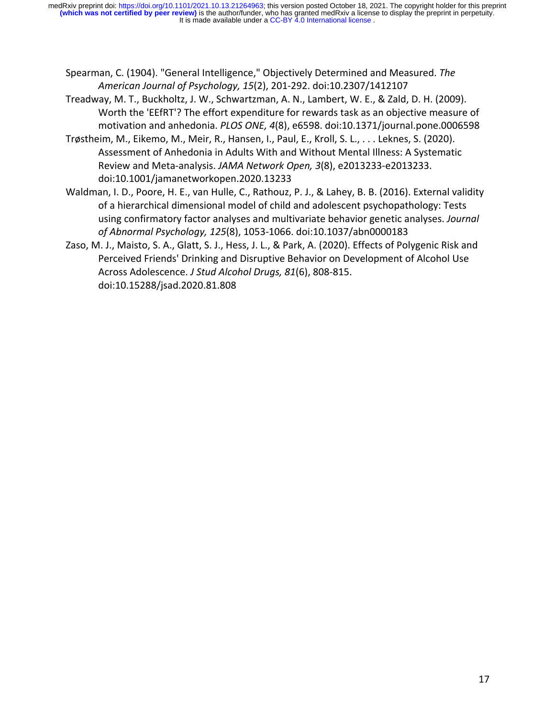- Spearman, C. (1904). "General Intelligence," Objectively Determined and Measured. *The American Journal of Psychology, 15*(2), 201-292. doi:10.2307/1412107
- Treadway, M. T., Buckholtz, J. W., Schwartzman, A. N., Lambert, W. E., & Zald, D. H. (2009). Worth the 'EEfRT'? The effort expenditure for rewards task as an objective measure of motivation and anhedonia. *PLOS ONE, 4*(8), e6598. doi:10.1371/journal.pone.0006598
- Trøstheim, M., Eikemo, M., Meir, R., Hansen, I., Paul, E., Kroll, S. L., . . . Leknes, S. (2020). Assessment of Anhedonia in Adults With and Without Mental Illness: A Systematic Review and Meta-analysis. *JAMA Network Open, 3*(8), e2013233-e2013233. doi:10.1001/jamanetworkopen.2020.13233
- Waldman, I. D., Poore, H. E., van Hulle, C., Rathouz, P. J., & Lahey, B. B. (2016). External validity of a hierarchical dimensional model of child and adolescent psychopathology: Tests using confirmatory factor analyses and multivariate behavior genetic analyses. *Journal of Abnormal Psychology, 125*(8), 1053-1066. doi:10.1037/abn0000183
- Zaso, M. J., Maisto, S. A., Glatt, S. J., Hess, J. L., & Park, A. (2020). Effects of Polygenic Risk and Perceived Friends' Drinking and Disruptive Behavior on Development of Alcohol Use Across Adolescence. *J Stud Alcohol Drugs, 81*(6), 808-815. doi:10.15288/jsad.2020.81.808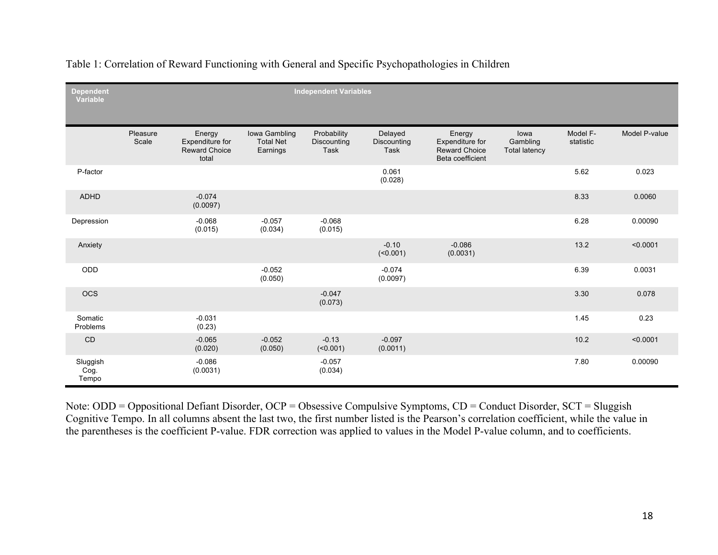| <b>Dependent</b><br><b>Variable</b> | <b>Independent Variables</b> |                                                            |                                               |                                           |                                |                                                                       |                                          |                       |               |
|-------------------------------------|------------------------------|------------------------------------------------------------|-----------------------------------------------|-------------------------------------------|--------------------------------|-----------------------------------------------------------------------|------------------------------------------|-----------------------|---------------|
|                                     | Pleasure<br>Scale            | Energy<br>Expenditure for<br><b>Reward Choice</b><br>total | Iowa Gambling<br><b>Total Net</b><br>Earnings | Probability<br>Discounting<br><b>Task</b> | Delayed<br>Discounting<br>Task | Energy<br>Expenditure for<br><b>Reward Choice</b><br>Beta coefficient | lowa<br>Gambling<br><b>Total latency</b> | Model F-<br>statistic | Model P-value |
| P-factor                            |                              |                                                            |                                               |                                           | 0.061<br>(0.028)               |                                                                       |                                          | 5.62                  | 0.023         |
| ADHD                                |                              | $-0.074$<br>(0.0097)                                       |                                               |                                           |                                |                                                                       |                                          | 8.33                  | 0.0060        |
| Depression                          |                              | $-0.068$<br>(0.015)                                        | $-0.057$<br>(0.034)                           | $-0.068$<br>(0.015)                       |                                |                                                                       |                                          | 6.28                  | 0.00090       |
| Anxiety                             |                              |                                                            |                                               |                                           | $-0.10$<br>(50.001)            | $-0.086$<br>(0.0031)                                                  |                                          | 13.2                  | < 0.0001      |
| ODD                                 |                              |                                                            | $-0.052$<br>(0.050)                           |                                           | $-0.074$<br>(0.0097)           |                                                                       |                                          | 6.39                  | 0.0031        |
| <b>OCS</b>                          |                              |                                                            |                                               | $-0.047$<br>(0.073)                       |                                |                                                                       |                                          | 3.30                  | 0.078         |
| Somatic<br>Problems                 |                              | $-0.031$<br>(0.23)                                         |                                               |                                           |                                |                                                                       |                                          | 1.45                  | 0.23          |
| CD                                  |                              | $-0.065$<br>(0.020)                                        | $-0.052$<br>(0.050)                           | $-0.13$<br>$($ <0.001)                    | $-0.097$<br>(0.0011)           |                                                                       |                                          | 10.2                  | < 0.0001      |
| Sluggish<br>Cog.<br>Tempo           |                              | $-0.086$<br>(0.0031)                                       |                                               | $-0.057$<br>(0.034)                       |                                |                                                                       |                                          | 7.80                  | 0.00090       |

Table 1: Correlation of Reward Functioning with General and Specific Psychopathologies in Children

Note: ODD = Oppositional Defiant Disorder, OCP = Obsessive Compulsive Symptoms, CD = Conduct Disorder, SCT = Sluggish Cognitive Tempo. In all columns absent the last two, the first number listed is the Pearson's correlation coefficient, while the value in the parentheses is the coefficient P-value. FDR correction was applied to values in the Model P-value column, and to coefficients.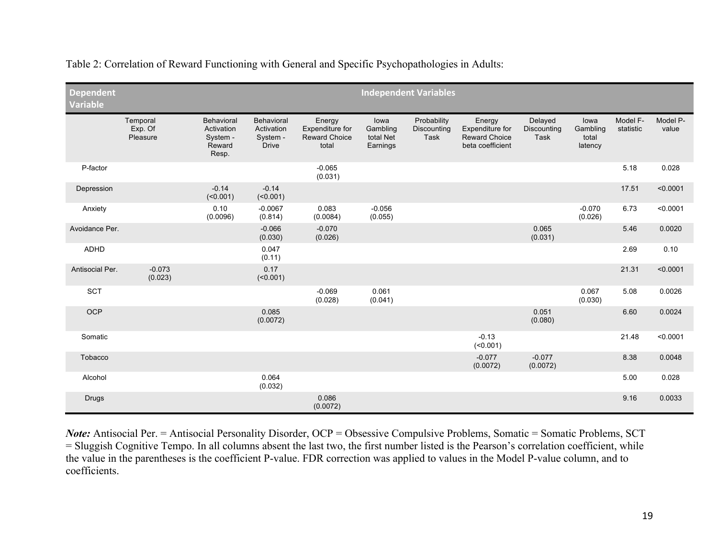| <b>Dependent</b><br><b>Variable</b> | <b>Independent Variables</b>    |                                                         |                                                      |                                                            |                                           |                                    |                                                                       |                                |                                      |                       |                   |
|-------------------------------------|---------------------------------|---------------------------------------------------------|------------------------------------------------------|------------------------------------------------------------|-------------------------------------------|------------------------------------|-----------------------------------------------------------------------|--------------------------------|--------------------------------------|-----------------------|-------------------|
|                                     | Temporal<br>Exp. Of<br>Pleasure | Behavioral<br>Activation<br>System -<br>Reward<br>Resp. | Behavioral<br>Activation<br>System -<br><b>Drive</b> | Energy<br>Expenditure for<br><b>Reward Choice</b><br>total | lowa<br>Gambling<br>total Net<br>Earnings | Probability<br>Discounting<br>Task | Energy<br>Expenditure for<br><b>Reward Choice</b><br>beta coefficient | Delayed<br>Discounting<br>Task | lowa<br>Gambling<br>total<br>latency | Model F-<br>statistic | Model P-<br>value |
| P-factor                            |                                 |                                                         |                                                      | $-0.065$<br>(0.031)                                        |                                           |                                    |                                                                       |                                |                                      | 5.18                  | 0.028             |
| Depression                          |                                 | $-0.14$<br>$($ <0.001)                                  | $-0.14$<br>$($ <0.001)                               |                                                            |                                           |                                    |                                                                       |                                |                                      | 17.51                 | < 0.0001          |
| Anxiety                             |                                 | 0.10<br>(0.0096)                                        | $-0.0067$<br>(0.814)                                 | 0.083<br>(0.0084)                                          | $-0.056$<br>(0.055)                       |                                    |                                                                       |                                | $-0.070$<br>(0.026)                  | 6.73                  | < 0.0001          |
| Avoidance Per.                      |                                 |                                                         | $-0.066$<br>(0.030)                                  | $-0.070$<br>(0.026)                                        |                                           |                                    |                                                                       | 0.065<br>(0.031)               |                                      | 5.46                  | 0.0020            |
| <b>ADHD</b>                         |                                 |                                                         | 0.047<br>(0.11)                                      |                                                            |                                           |                                    |                                                                       |                                |                                      | 2.69                  | 0.10              |
| Antisocial Per.                     | $-0.073$<br>(0.023)             |                                                         | 0.17<br>(0.001)                                      |                                                            |                                           |                                    |                                                                       |                                |                                      | 21.31                 | < 0.0001          |
| <b>SCT</b>                          |                                 |                                                         |                                                      | $-0.069$<br>(0.028)                                        | 0.061<br>(0.041)                          |                                    |                                                                       |                                | 0.067<br>(0.030)                     | 5.08                  | 0.0026            |
| OCP                                 |                                 |                                                         | 0.085<br>(0.0072)                                    |                                                            |                                           |                                    |                                                                       | 0.051<br>(0.080)               |                                      | 6.60                  | 0.0024            |
| Somatic                             |                                 |                                                         |                                                      |                                                            |                                           |                                    | $-0.13$<br>$($ <0.001)                                                |                                |                                      | 21.48                 | < 0.0001          |
| Tobacco                             |                                 |                                                         |                                                      |                                                            |                                           |                                    | $-0.077$<br>(0.0072)                                                  | $-0.077$<br>(0.0072)           |                                      | 8.38                  | 0.0048            |
| Alcohol                             |                                 |                                                         | 0.064<br>(0.032)                                     |                                                            |                                           |                                    |                                                                       |                                |                                      | 5.00                  | 0.028             |
| <b>Drugs</b>                        |                                 |                                                         |                                                      | 0.086<br>(0.0072)                                          |                                           |                                    |                                                                       |                                |                                      | 9.16                  | 0.0033            |

Table 2: Correlation of Reward Functioning with General and Specific Psychopathologies in Adults:

*Note:* Antisocial Per. = Antisocial Personality Disorder, OCP = Obsessive Compulsive Problems, Somatic = Somatic Problems, SCT = Sluggish Cognitive Tempo. In all columns absent the last two, the first number listed is the Pearson's correlation coefficient, while the value in the parentheses is the coefficient P-value. FDR correction was applied to values in the Model P-value column, and to coefficients.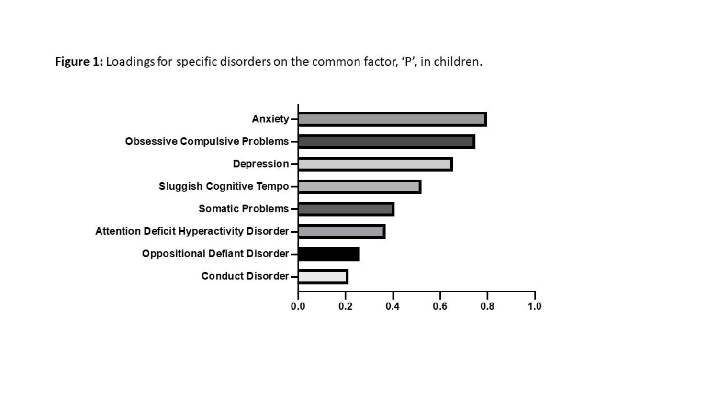Figure 1: Loadings for specific disorders on the common factor, 'P', in children.